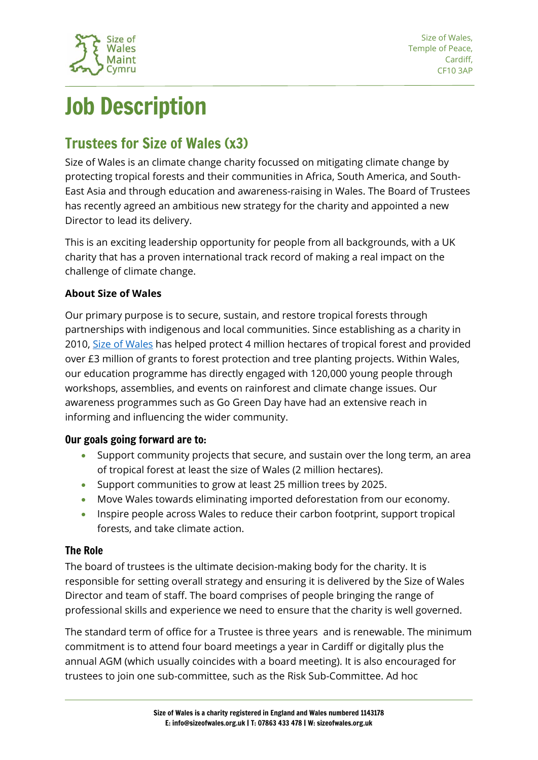

# Job Description

## Trustees for Size of Wales (x3)

Size of Wales is an climate change charity focussed on mitigating climate change by protecting tropical forests and their communities in Africa, South America, and South-East Asia and through education and awareness-raising in Wales. The Board of Trustees has recently agreed an ambitious new strategy for the charity and appointed a new Director to lead its delivery.

This is an exciting leadership opportunity for people from all backgrounds, with a UK charity that has a proven international track record of making a real impact on the challenge of climate change.

### **About Size of Wales**

Our primary purpose is to secure, sustain, and restore tropical forests through partnerships with indigenous and local communities. Since establishing as a charity in 2010, [Size of Wales](https://sizeofwales.org.uk/) has helped protect 4 million hectares of tropical forest and provided over £3 million of grants to forest protection and tree planting projects. Within Wales, our education programme has directly engaged with 120,000 young people through workshops, assemblies, and events on rainforest and climate change issues. Our awareness programmes such as Go Green Day have had an extensive reach in informing and influencing the wider community.

#### Our goals going forward are to:

- Support community projects that secure, and sustain over the long term, an area of tropical forest at least the size of Wales (2 million hectares).
- Support communities to grow at least 25 million trees by 2025.
- Move Wales towards eliminating imported deforestation from our economy.
- Inspire people across Wales to reduce their carbon footprint, support tropical forests, and take climate action.

#### The Role

The board of trustees is the ultimate decision-making body for the charity. It is responsible for setting overall strategy and ensuring it is delivered by the Size of Wales Director and team of staff. The board comprises of people bringing the range of professional skills and experience we need to ensure that the charity is well governed.

The standard term of office for a Trustee is three years and is renewable. The minimum commitment is to attend four board meetings a year in Cardiff or digitally plus the annual AGM (which usually coincides with a board meeting). It is also encouraged for trustees to join one sub-committee, such as the Risk Sub-Committee. Ad hoc